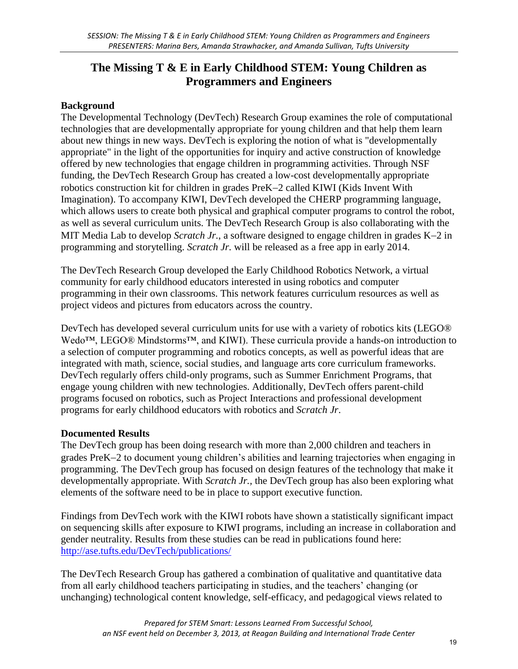# **The Missing T & E in Early Childhood STEM: Young Children as Programmers and Engineers**

### **Background**

The Developmental Technology (DevTech) Research Group examines the role of computational technologies that are developmentally appropriate for young children and that help them learn about new things in new ways. DevTech is exploring the notion of what is "developmentally appropriate" in the light of the opportunities for inquiry and active construction of knowledge offered by new technologies that engage children in programming activities. Through NSF funding, the DevTech Research Group has created a low-cost developmentally appropriate robotics construction kit for children in grades PreK-2 called KIWI (Kids Invent With [Imagination\).](http://ase.tufts.edu/DevTech/ReadyForRobotics/readyforrobotics.asp#technology) To accompany KIWI, DevTech developed the [CHERP programming language,](http://ase.tufts.edu/DevTech/tangiblek/research/cherp.asp) which allows users to create both physical and graphical computer programs to control the robot, as well as several curriculum units. The DevTech Research Group is also collaborating with the MIT Media Lab to develop *[Scratch Jr.](http://ase.tufts.edu/DevTech/ScratchJr/ScratchJrHome.asp)*, a software designed to engage children in grades K-2 in programming and storytelling. *Scratch Jr.* will be released as a free app in early 2014.

The DevTech Research Group developed the [Early Childhood Robotics Network,](http://tkroboticsnetwork.ning.com/) a virtual community for early childhood educators interested in using robotics and computer programming in their own classrooms. This network features [curriculum resources](http://tkroboticsnetwork.ning.com/page/tangible-k) as well as [project videos a](http://tkroboticsnetwork.ning.com/video)nd pictures from educators across the country.

DevTech has developed several curriculum units for use with a variety of robotics kits (LEGO® Wedo™, LEGO® Mindstorms™, and KIWI). These curricula provide a hands-on introduction to a selection of computer programming and robotics concepts, as well as powerful ideas that are integrated with math, science, social studies, and language arts core curriculum frameworks. DevTech regularly offers child-only programs, such as [Summer Enrichment Programs,](http://ase.tufts.edu/DevTech/about/DevTechSummer2013.asp) that engage young children with new technologies. Additionally, DevTech offers parent-child programs focused on robotics, such as [Project Interactions](http://ase.tufts.edu/DevTech/projects/project_interactions.asp) and professional development programs for early childhood educators with robotics and *Scratch Jr*.

#### **Documented Results**

The DevTech group has been doing research with more than 2,000 children and teachers in grades PreK2 to document young children's abilities and learning trajectories when engaging in programming. The DevTech group has focused on design features of the technology that make it developmentally appropriate. With *Scratch Jr.,* the DevTech group has also been exploring what elements of the software need to be in place to support executive function.

Findings from DevTech work with the KIWI robots have shown a statistically significant impact on sequencing skills after exposure to KIWI programs, including an increase in collaboration and gender neutrality. Results from these studies can be read in publications found here: <http://ase.tufts.edu/DevTech/publications/>

The DevTech Research Group has gathered a combination of qualitative and quantitative data from all early childhood teachers participating in studies, and the teachers' changing (or unchanging) technological content knowledge, self-efficacy, and pedagogical views related to